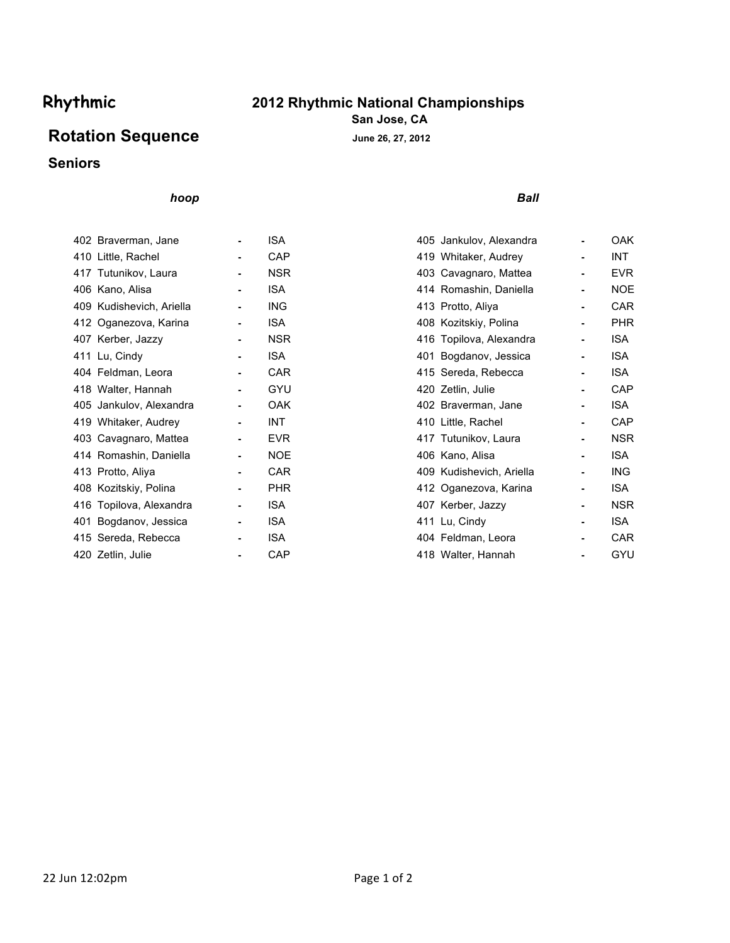# **Rhythmic 2012 Rhythmic National Championships**

**San Jose, CA**

## Rotation Sequence<br> **June 26, 27, 2012**

## **Seniors**

### *hoop Ball*

| 402 Braverman, Jane      |   | ISA.       | 405 Jankulov, Alexandra  | OAK        |
|--------------------------|---|------------|--------------------------|------------|
| 410 Little, Rachel       |   | CAP        | 419 Whitaker, Audrey     | INT.       |
| 417 Tutunikov, Laura     |   | <b>NSR</b> | 403 Cavagnaro, Mattea    | <b>EVR</b> |
| 406 Kano, Alisa          |   | <b>ISA</b> | 414 Romashin, Daniella   | <b>NOE</b> |
| 409 Kudishevich, Ariella | ٠ | <b>ING</b> | 413 Protto, Aliya        | CAR        |
| 412 Oganezova, Karina    | ٠ | <b>ISA</b> | 408 Kozitskiy, Polina    | <b>PHR</b> |
| 407 Kerber, Jazzy        |   | <b>NSR</b> | 416 Topilova, Alexandra  | <b>ISA</b> |
| 411 Lu, Cindy            |   | <b>ISA</b> | 401 Bogdanov, Jessica    | <b>ISA</b> |
| 404 Feldman, Leora       |   | <b>CAR</b> | 415 Sereda, Rebecca      | ISA.       |
| 418 Walter, Hannah       | ٠ | GYU        | 420 Zetlin, Julie        | CAP        |
| 405 Jankulov, Alexandra  |   | 0AK        | 402 Braverman, Jane      | ISA.       |
| 419 Whitaker, Audrey     |   | <b>INT</b> | 410 Little, Rachel       | CAP        |
| 403 Cavagnaro, Mattea    | ٠ | EVR.       | 417 Tutunikov, Laura     | <b>NSR</b> |
| 414 Romashin, Daniella   |   | <b>NOE</b> | 406 Kano, Alisa          | <b>ISA</b> |
| 413 Protto, Aliya        |   | <b>CAR</b> | 409 Kudishevich, Ariella | ING        |
| 408 Kozitskiy, Polina    |   | <b>PHR</b> | 412 Oganezova, Karina    | ISA        |
| 416 Topilova, Alexandra  | ٠ | <b>ISA</b> | 407 Kerber, Jazzy        | <b>NSR</b> |
| 401 Bogdanov, Jessica    |   | <b>ISA</b> | 411 Lu, Cindy            | ISA.       |
| 415 Sereda, Rebecca      |   | <b>ISA</b> | 404 Feldman, Leora       | CAR        |
| 420 Zetlin, Julie        |   | CAP        | 418 Walter, Hannah       | GYU        |
|                          |   |            |                          |            |

| 402 Braverman, Jane      |    | <b>ISA</b> | 405 Jankulov, Alexandra  | $\blacksquare$ | <b>OAK</b> |
|--------------------------|----|------------|--------------------------|----------------|------------|
| 410 Little, Rachel       |    | <b>CAP</b> | 419 Whitaker, Audrey     | $\blacksquare$ | INT.       |
| 417 Tutunikov, Laura     |    | <b>NSR</b> | 403 Cavagnaro, Mattea    | ٠              | EVR.       |
| 406 Kano, Alisa          |    | <b>ISA</b> | 414 Romashin, Daniella   |                | <b>NOE</b> |
| 409 Kudishevich, Ariella | ۰. | ING.       | 413 Protto, Aliya        | ۰              | <b>CAR</b> |
| 412 Oganezova, Karina    | ۰. | <b>ISA</b> | 408 Kozitskiy, Polina    | $\blacksquare$ | <b>PHR</b> |
| 407 Kerber, Jazzy        |    | <b>NSR</b> | 416 Topilova, Alexandra  | $\blacksquare$ | <b>ISA</b> |
| 411 Lu, Cindy            |    | <b>ISA</b> | 401 Bogdanov, Jessica    | $\blacksquare$ | ISA.       |
| 404 Feldman, Leora       |    | <b>CAR</b> | 415 Sereda, Rebecca      | ٠              | ISA.       |
| 418 Walter, Hannah       |    | GYU        | 420 Zetlin, Julie        | $\blacksquare$ | <b>CAP</b> |
| 405 Jankulov, Alexandra  |    | 0AK        | 402 Braverman, Jane      | $\blacksquare$ | ISA.       |
| 419 Whitaker, Audrey     |    | <b>INT</b> | 410 Little, Rachel       | $\blacksquare$ | <b>CAP</b> |
| 403 Cavagnaro, Mattea    |    | EVR.       | 417 Tutunikov, Laura     | $\blacksquare$ | <b>NSR</b> |
| 414 Romashin, Daniella   |    | <b>NOE</b> | 406 Kano, Alisa          | $\blacksquare$ | <b>ISA</b> |
| 413 Protto, Aliya        |    | <b>CAR</b> | 409 Kudishevich, Ariella | $\blacksquare$ | ING.       |
| 408 Kozitskiy, Polina    | ۰. | <b>PHR</b> | 412 Oganezova, Karina    | $\blacksquare$ | ISA.       |
| 416 Topilova, Alexandra  | ۰. | <b>ISA</b> | 407 Kerber, Jazzy        | $\blacksquare$ | <b>NSR</b> |
| 401 Bogdanov, Jessica    |    | <b>ISA</b> | 411 Lu, Cindy            |                | <b>ISA</b> |
| 415 Sereda, Rebecca      |    | <b>ISA</b> | 404 Feldman, Leora       |                | <b>CAR</b> |
| 420 Zetlin, Julie        |    | CAP        | 418 Walter, Hannah       | $\blacksquare$ | GYU        |